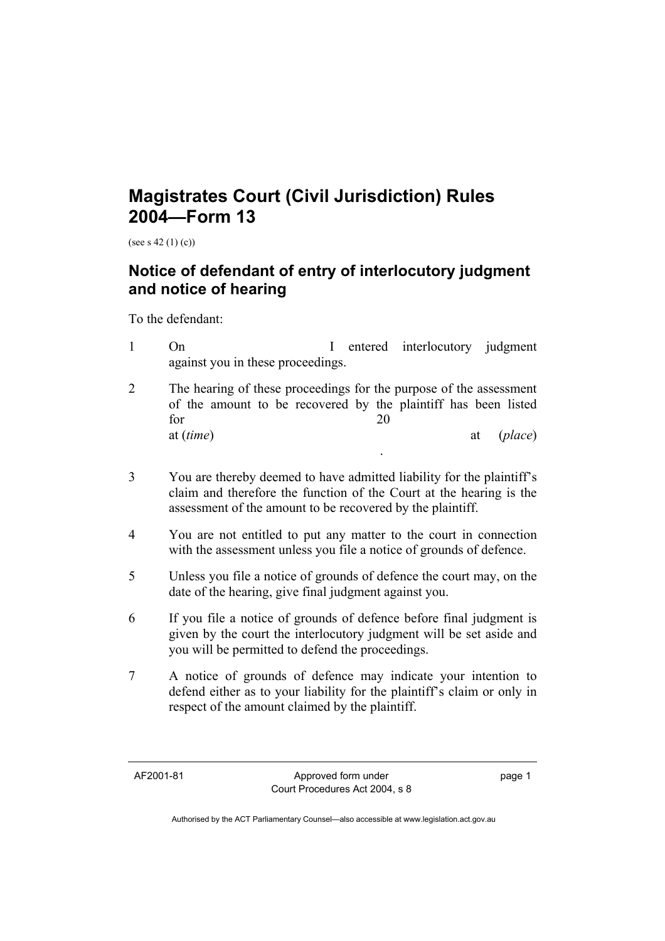## **Magistrates Court (Civil Jurisdiction) Rules 2004—Form 13**

(see s 42 (1) (c))

## **Notice of defendant of entry of interlocutory judgment and notice of hearing**

To the defendant:

- 1 On I entered interlocutory judgment against you in these proceedings.
- 2 The hearing of these proceedings for the purpose of the assessment of the amount to be recovered by the plaintiff has been listed for 20 at (*time*) at (*place*)

.

- 3 You are thereby deemed to have admitted liability for the plaintiff's claim and therefore the function of the Court at the hearing is the assessment of the amount to be recovered by the plaintiff.
- 4 You are not entitled to put any matter to the court in connection with the assessment unless you file a notice of grounds of defence.
- 5 Unless you file a notice of grounds of defence the court may, on the date of the hearing, give final judgment against you.
- 6 If you file a notice of grounds of defence before final judgment is given by the court the interlocutory judgment will be set aside and you will be permitted to defend the proceedings.
- 7 A notice of grounds of defence may indicate your intention to defend either as to your liability for the plaintiff's claim or only in respect of the amount claimed by the plaintiff.

AF2001-81 Approved form under Court Procedures Act 2004, s 8 page 1

Authorised by the ACT Parliamentary Counsel—also accessible at www.legislation.act.gov.au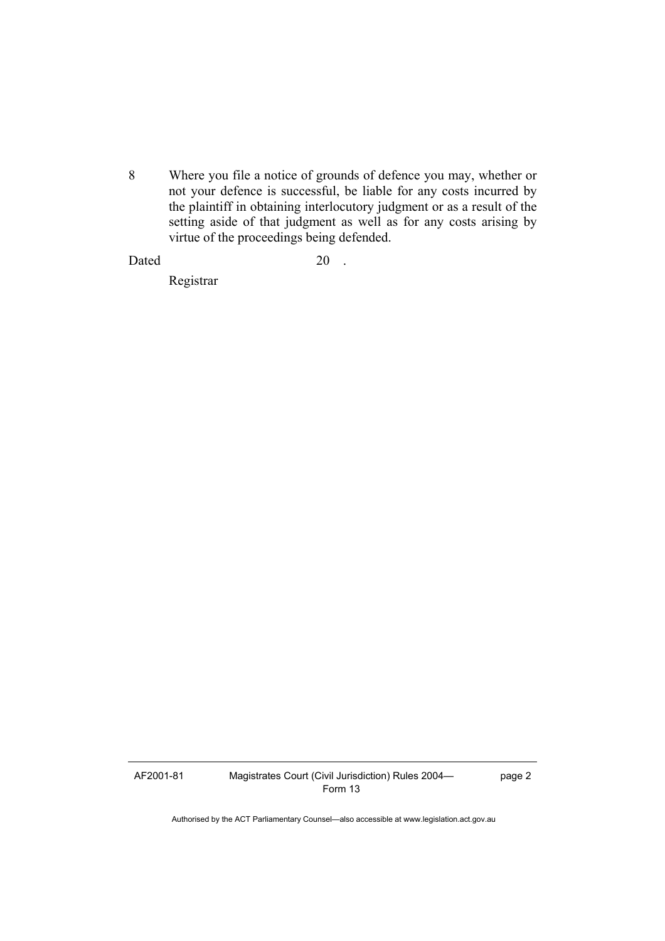8 Where you file a notice of grounds of defence you may, whether or not your defence is successful, be liable for any costs incurred by the plaintiff in obtaining interlocutory judgment or as a result of the setting aside of that judgment as well as for any costs arising by virtue of the proceedings being defended.

## Dated 20 .

Registrar

AF2001-81 Magistrates Court (Civil Jurisdiction) Rules 2004— Form 13

page 2

Authorised by the ACT Parliamentary Counsel—also accessible at www.legislation.act.gov.au